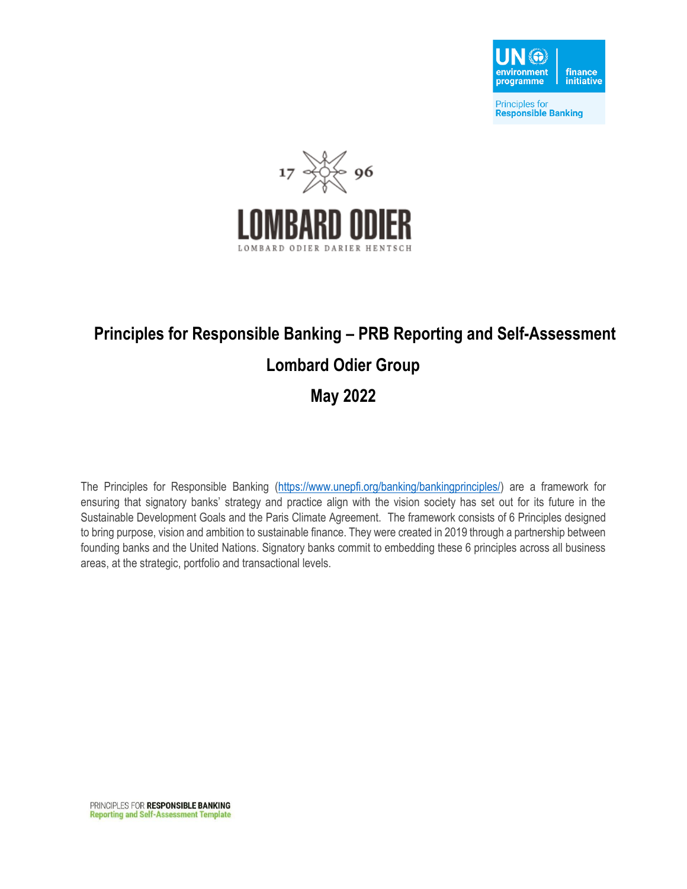



# **Principles for Responsible Banking – PRB Reporting and Self-Assessment Lombard Odier Group**

#### **May 2022**

The Principles for Responsible Banking [\(https://www.unepfi.org/banking/bankingprinciples/\)](https://www.unepfi.org/banking/bankingprinciples/) are a framework for ensuring that signatory banks' strategy and practice align with the vision society has set out for its future in the Sustainable Development Goals and the Paris Climate Agreement. The framework consists of 6 Principles designed to bring purpose, vision and ambition to sustainable finance. They were created in 2019 through a partnership between founding banks and the United Nations. Signatory banks commit to embedding these 6 principles across all business areas, at the strategic, portfolio and transactional levels.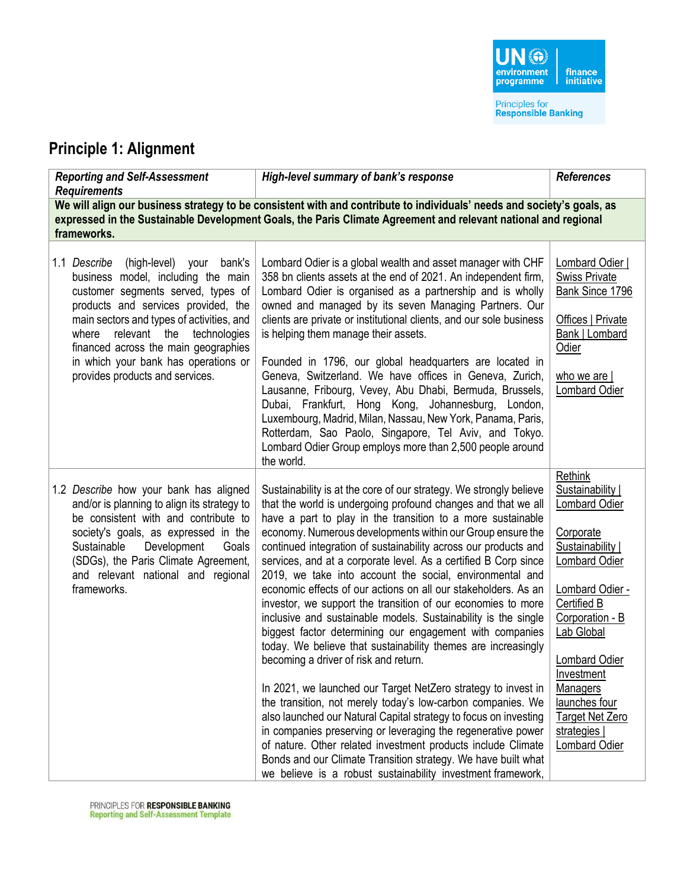### **Principle 1: Alignment**

| <b>Reporting and Self-Assessment</b><br><b>Requirements</b>                                                                                                                                                                                                                                                                                                          | High-level summary of bank's response                                                                                                                                                                                                                                                                                                                                                                                                                                                                                                                                                                                                                                                                                                                                                                                                                                                                                                                                                                                                                                                                                                                                                                                                                                                                            | <b>References</b>                                                                                                                                                                                                                                                                                      |  |
|----------------------------------------------------------------------------------------------------------------------------------------------------------------------------------------------------------------------------------------------------------------------------------------------------------------------------------------------------------------------|------------------------------------------------------------------------------------------------------------------------------------------------------------------------------------------------------------------------------------------------------------------------------------------------------------------------------------------------------------------------------------------------------------------------------------------------------------------------------------------------------------------------------------------------------------------------------------------------------------------------------------------------------------------------------------------------------------------------------------------------------------------------------------------------------------------------------------------------------------------------------------------------------------------------------------------------------------------------------------------------------------------------------------------------------------------------------------------------------------------------------------------------------------------------------------------------------------------------------------------------------------------------------------------------------------------|--------------------------------------------------------------------------------------------------------------------------------------------------------------------------------------------------------------------------------------------------------------------------------------------------------|--|
| We will align our business strategy to be consistent with and contribute to individuals' needs and society's goals, as<br>expressed in the Sustainable Development Goals, the Paris Climate Agreement and relevant national and regional<br>frameworks.                                                                                                              |                                                                                                                                                                                                                                                                                                                                                                                                                                                                                                                                                                                                                                                                                                                                                                                                                                                                                                                                                                                                                                                                                                                                                                                                                                                                                                                  |                                                                                                                                                                                                                                                                                                        |  |
| 1.1 Describe (high-level) your<br>bank's<br>business model, including the main<br>customer segments served, types of<br>products and services provided, the<br>main sectors and types of activities, and<br>relevant the<br>where<br>technologies<br>financed across the main geographies<br>in which your bank has operations or<br>provides products and services. | Lombard Odier is a global wealth and asset manager with CHF<br>358 bn clients assets at the end of 2021. An independent firm,<br>Lombard Odier is organised as a partnership and is wholly<br>owned and managed by its seven Managing Partners. Our<br>clients are private or institutional clients, and our sole business<br>is helping them manage their assets.<br>Founded in 1796, our global headquarters are located in<br>Geneva, Switzerland. We have offices in Geneva, Zurich,<br>Lausanne, Fribourg, Vevey, Abu Dhabi, Bermuda, Brussels,<br>Dubai, Frankfurt, Hong Kong, Johannesburg, London,<br>Luxembourg, Madrid, Milan, Nassau, New York, Panama, Paris,<br>Rotterdam, Sao Paolo, Singapore, Tel Aviv, and Tokyo.<br>Lombard Odier Group employs more than 2,500 people around<br>the world.                                                                                                                                                                                                                                                                                                                                                                                                                                                                                                    | Lombard Odier  <br><b>Swiss Private</b><br>Bank Since 1796<br>Offices   Private<br>Bank   Lombard<br>Odier<br>who we are $ $<br><b>Lombard Odier</b>                                                                                                                                                   |  |
| 1.2 Describe how your bank has aligned<br>and/or is planning to align its strategy to<br>be consistent with and contribute to<br>society's goals, as expressed in the<br>Sustainable<br>Development<br>Goals<br>(SDGs), the Paris Climate Agreement,<br>and relevant national and regional<br>frameworks.                                                            | Sustainability is at the core of our strategy. We strongly believe<br>that the world is undergoing profound changes and that we all<br>have a part to play in the transition to a more sustainable<br>economy. Numerous developments within our Group ensure the<br>continued integration of sustainability across our products and<br>services, and at a corporate level. As a certified B Corp since<br>2019, we take into account the social, environmental and<br>economic effects of our actions on all our stakeholders. As an<br>investor, we support the transition of our economies to more<br>inclusive and sustainable models. Sustainability is the single<br>biggest factor determining our engagement with companies<br>today. We believe that sustainability themes are increasingly<br>becoming a driver of risk and return.<br>In 2021, we launched our Target NetZero strategy to invest in<br>the transition, not merely today's low-carbon companies. We<br>also launched our Natural Capital strategy to focus on investing<br>in companies preserving or leveraging the regenerative power<br>of nature. Other related investment products include Climate<br>Bonds and our Climate Transition strategy. We have built what<br>we believe is a robust sustainability investment framework, | Rethink<br>Sustainability  <br>Lombard Odier<br>Corporate<br>Sustainability  <br><b>Lombard Odier</b><br>Lombard Odier -<br>Certified B<br>Corporation - B<br>Lab Global<br>Lombard Odier<br>Investment<br>Managers<br>launches four<br><b>Target Net Zero</b><br>strategies  <br><b>Lombard Odier</b> |  |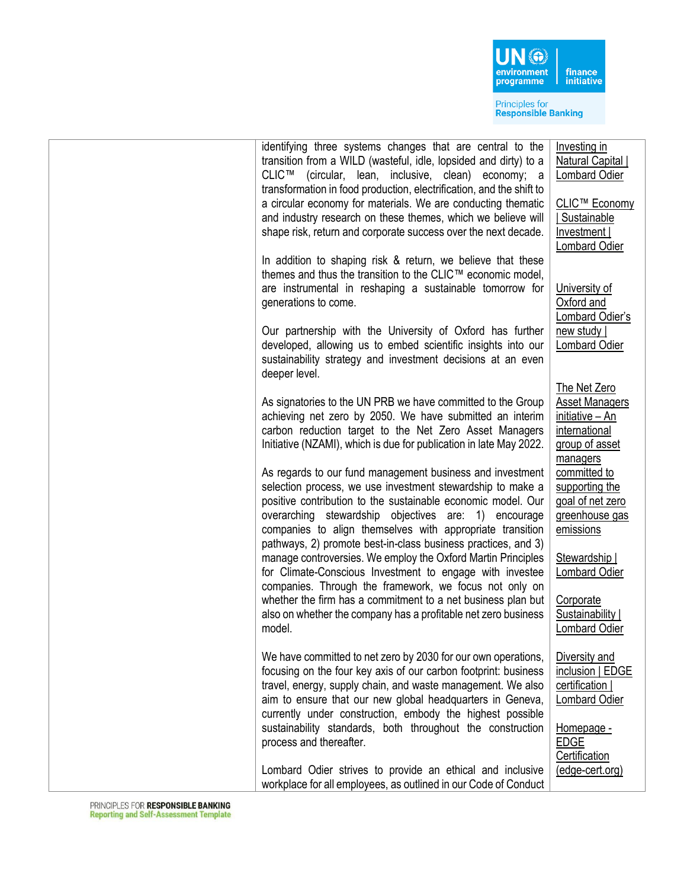

| identifying three systems changes that are central to the<br>transition from a WILD (wasteful, idle, lopsided and dirty) to a<br><b>CLIC™</b><br>(circular, lean, inclusive, clean) economy; a<br>transformation in food production, electrification, and the shift to<br>a circular economy for materials. We are conducting thematic<br>and industry research on these themes, which we believe will<br>shape risk, return and corporate success over the next decade. | Investing in<br><b>Natural Capital</b><br><b>Lombard Odier</b><br>CLIC™ Economy<br>Sustainable<br>Investment  <br>Lombard Odier |
|--------------------------------------------------------------------------------------------------------------------------------------------------------------------------------------------------------------------------------------------------------------------------------------------------------------------------------------------------------------------------------------------------------------------------------------------------------------------------|---------------------------------------------------------------------------------------------------------------------------------|
| In addition to shaping risk & return, we believe that these<br>themes and thus the transition to the CLIC™ economic model,<br>are instrumental in reshaping a sustainable tomorrow for<br>generations to come.<br>Our partnership with the University of Oxford has further<br>developed, allowing us to embed scientific insights into our<br>sustainability strategy and investment decisions at an even<br>deeper level.                                              | University of<br>Oxford and<br>Lombard Odier's<br>new study<br><b>Lombard Odier</b>                                             |
| As signatories to the UN PRB we have committed to the Group<br>achieving net zero by 2050. We have submitted an interim<br>carbon reduction target to the Net Zero Asset Managers<br>Initiative (NZAMI), which is due for publication in late May 2022.<br>As regards to our fund management business and investment                                                                                                                                                     | The Net Zero<br><b>Asset Managers</b><br>initiative - An<br>international<br>group of asset<br>managers<br>committed to         |
| selection process, we use investment stewardship to make a<br>positive contribution to the sustainable economic model. Our<br>overarching stewardship objectives are: 1) encourage<br>companies to align themselves with appropriate transition<br>pathways, 2) promote best-in-class business practices, and 3)<br>manage controversies. We employ the Oxford Martin Principles<br>for Climate-Conscious Investment to engage with investee                             | supporting the<br>goal of net zero<br>greenhouse gas<br>emissions<br>Stewardship  <br><b>Lombard Odier</b>                      |
| companies. Through the framework, we focus not only on<br>whether the firm has a commitment to a net business plan but<br>also on whether the company has a profitable net zero business<br>model.                                                                                                                                                                                                                                                                       | Corporate<br>Sustainability  <br><b>Lombard Odier</b>                                                                           |
| We have committed to net zero by 2030 for our own operations,<br>focusing on the four key axis of our carbon footprint: business<br>travel, energy, supply chain, and waste management. We also<br>aim to ensure that our new global headquarters in Geneva,<br>currently under construction, embody the highest possible<br>sustainability standards, both throughout the construction<br>process and thereafter.                                                       | Diversity and<br>inclusion   EDGE<br>certification  <br><b>Lombard Odier</b><br>Homepage -<br><b>EDGE</b><br>Certification      |
| Lombard Odier strives to provide an ethical and inclusive<br>workplace for all employees, as outlined in our Code of Conduct                                                                                                                                                                                                                                                                                                                                             | (edge-cert.org)                                                                                                                 |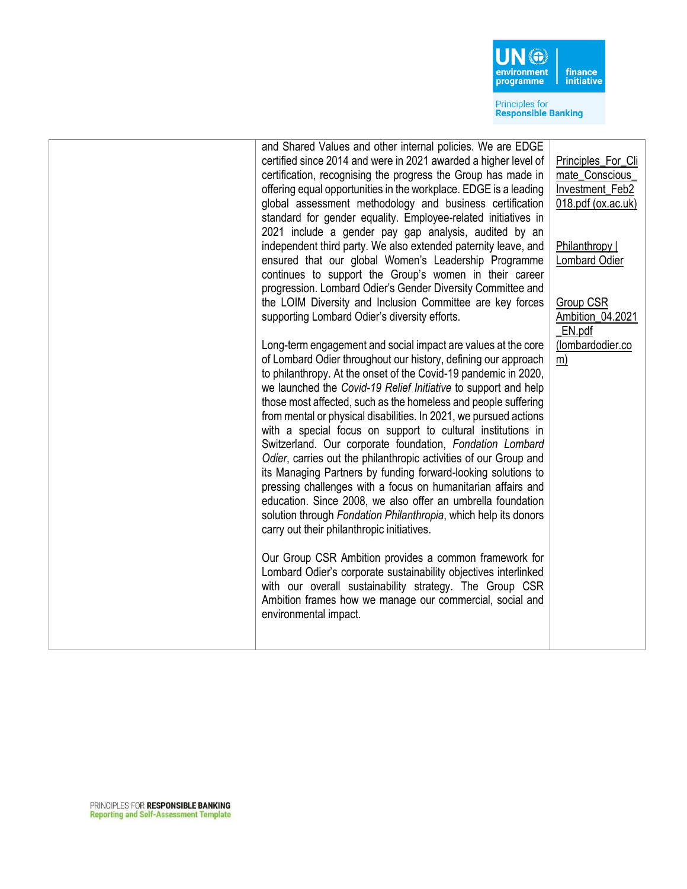

|  |  | and Shared Values and other internal policies. We are EDGE<br>certified since 2014 and were in 2021 awarded a higher level of<br>certification, recognising the progress the Group has made in<br>offering equal opportunities in the workplace. EDGE is a leading<br>global assessment methodology and business certification<br>standard for gender equality. Employee-related initiatives in<br>2021 include a gender pay gap analysis, audited by an<br>independent third party. We also extended paternity leave, and<br>ensured that our global Women's Leadership Programme<br>continues to support the Group's women in their career<br>progression. Lombard Odier's Gender Diversity Committee and<br>the LOIM Diversity and Inclusion Committee are key forces<br>supporting Lombard Odier's diversity efforts.<br>Long-term engagement and social impact are values at the core<br>of Lombard Odier throughout our history, defining our approach<br>to philanthropy. At the onset of the Covid-19 pandemic in 2020,<br>we launched the Covid-19 Relief Initiative to support and help<br>those most affected, such as the homeless and people suffering<br>from mental or physical disabilities. In 2021, we pursued actions<br>with a special focus on support to cultural institutions in<br>Switzerland. Our corporate foundation, Fondation Lombard<br>Odier, carries out the philanthropic activities of our Group and<br>its Managing Partners by funding forward-looking solutions to<br>pressing challenges with a focus on humanitarian affairs and<br>education. Since 2008, we also offer an umbrella foundation<br>solution through Fondation Philanthropia, which help its donors<br>carry out their philanthropic initiatives.<br>Our Group CSR Ambition provides a common framework for<br>Lombard Odier's corporate sustainability objectives interlinked<br>with our overall sustainability strategy. The Group CSR<br>Ambition frames how we manage our commercial, social and<br>environmental impact. | Principles_For_Cli<br>mate_Conscious_<br>Investment Feb2<br>018.pdf (ox.ac.uk)<br>Philanthropy  <br><b>Lombard Odier</b><br>Group CSR<br>Ambition_04.2021<br>EN.pdf<br>(lombardodier.co<br>m) |
|--|--|---------------------------------------------------------------------------------------------------------------------------------------------------------------------------------------------------------------------------------------------------------------------------------------------------------------------------------------------------------------------------------------------------------------------------------------------------------------------------------------------------------------------------------------------------------------------------------------------------------------------------------------------------------------------------------------------------------------------------------------------------------------------------------------------------------------------------------------------------------------------------------------------------------------------------------------------------------------------------------------------------------------------------------------------------------------------------------------------------------------------------------------------------------------------------------------------------------------------------------------------------------------------------------------------------------------------------------------------------------------------------------------------------------------------------------------------------------------------------------------------------------------------------------------------------------------------------------------------------------------------------------------------------------------------------------------------------------------------------------------------------------------------------------------------------------------------------------------------------------------------------------------------------------------------------------------------------------------------------------------------------------------------------------------|-----------------------------------------------------------------------------------------------------------------------------------------------------------------------------------------------|
|--|--|---------------------------------------------------------------------------------------------------------------------------------------------------------------------------------------------------------------------------------------------------------------------------------------------------------------------------------------------------------------------------------------------------------------------------------------------------------------------------------------------------------------------------------------------------------------------------------------------------------------------------------------------------------------------------------------------------------------------------------------------------------------------------------------------------------------------------------------------------------------------------------------------------------------------------------------------------------------------------------------------------------------------------------------------------------------------------------------------------------------------------------------------------------------------------------------------------------------------------------------------------------------------------------------------------------------------------------------------------------------------------------------------------------------------------------------------------------------------------------------------------------------------------------------------------------------------------------------------------------------------------------------------------------------------------------------------------------------------------------------------------------------------------------------------------------------------------------------------------------------------------------------------------------------------------------------------------------------------------------------------------------------------------------------|-----------------------------------------------------------------------------------------------------------------------------------------------------------------------------------------------|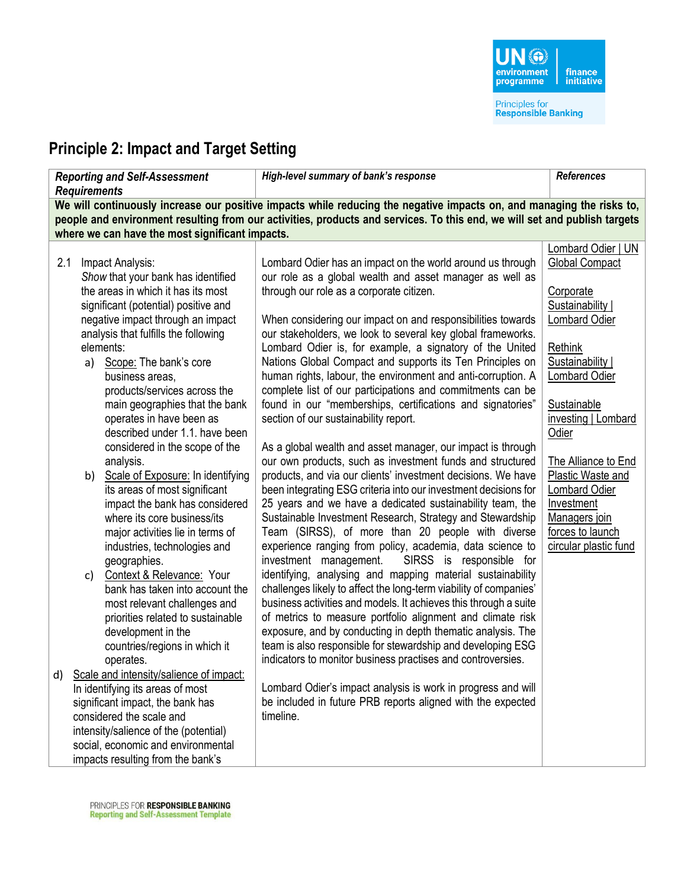## **Principle 2: Impact and Target Setting**

| <b>Reporting and Self-Assessment</b><br><b>Requirements</b>                                                                                                                                                                                                                                                                                                                                                                                                                                                                                                                                                                                                                                                                                                                                                                                                                                                                                                                                                                                                                                                                                                                                   | High-level summary of bank's response                                                                                                                                                                                                                                                                                                                                                                                                                                                                                                                                                                                                                                                                                                                                                                                                                                                                                                                                                                                                                                                                                                                                                                                                                                                                                                                                                                                                                                                                                                                                                                                                                                                                                                                                                                                                         | <b>References</b>                                                                                                                                                                                                                                                                                                                            |  |
|-----------------------------------------------------------------------------------------------------------------------------------------------------------------------------------------------------------------------------------------------------------------------------------------------------------------------------------------------------------------------------------------------------------------------------------------------------------------------------------------------------------------------------------------------------------------------------------------------------------------------------------------------------------------------------------------------------------------------------------------------------------------------------------------------------------------------------------------------------------------------------------------------------------------------------------------------------------------------------------------------------------------------------------------------------------------------------------------------------------------------------------------------------------------------------------------------|-----------------------------------------------------------------------------------------------------------------------------------------------------------------------------------------------------------------------------------------------------------------------------------------------------------------------------------------------------------------------------------------------------------------------------------------------------------------------------------------------------------------------------------------------------------------------------------------------------------------------------------------------------------------------------------------------------------------------------------------------------------------------------------------------------------------------------------------------------------------------------------------------------------------------------------------------------------------------------------------------------------------------------------------------------------------------------------------------------------------------------------------------------------------------------------------------------------------------------------------------------------------------------------------------------------------------------------------------------------------------------------------------------------------------------------------------------------------------------------------------------------------------------------------------------------------------------------------------------------------------------------------------------------------------------------------------------------------------------------------------------------------------------------------------------------------------------------------------|----------------------------------------------------------------------------------------------------------------------------------------------------------------------------------------------------------------------------------------------------------------------------------------------------------------------------------------------|--|
| We will continuously increase our positive impacts while reducing the negative impacts on, and managing the risks to,<br>people and environment resulting from our activities, products and services. To this end, we will set and publish targets<br>where we can have the most significant impacts.                                                                                                                                                                                                                                                                                                                                                                                                                                                                                                                                                                                                                                                                                                                                                                                                                                                                                         |                                                                                                                                                                                                                                                                                                                                                                                                                                                                                                                                                                                                                                                                                                                                                                                                                                                                                                                                                                                                                                                                                                                                                                                                                                                                                                                                                                                                                                                                                                                                                                                                                                                                                                                                                                                                                                               |                                                                                                                                                                                                                                                                                                                                              |  |
| Impact Analysis:<br>2.1<br>Show that your bank has identified<br>the areas in which it has its most<br>significant (potential) positive and<br>negative impact through an impact<br>analysis that fulfills the following<br>elements:<br>a) Scope: The bank's core<br>business areas,<br>products/services across the<br>main geographies that the bank<br>operates in have been as<br>described under 1.1. have been<br>considered in the scope of the<br>analysis.<br>Scale of Exposure: In identifying<br>b)<br>its areas of most significant<br>impact the bank has considered<br>where its core business/its<br>major activities lie in terms of<br>industries, technologies and<br>geographies.<br>Context & Relevance: Your<br>c)<br>bank has taken into account the<br>most relevant challenges and<br>priorities related to sustainable<br>development in the<br>countries/regions in which it<br>operates.<br>Scale and intensity/salience of impact:<br>d)<br>In identifying its areas of most<br>significant impact, the bank has<br>considered the scale and<br>intensity/salience of the (potential)<br>social, economic and environmental<br>impacts resulting from the bank's | Lombard Odier has an impact on the world around us through<br>our role as a global wealth and asset manager as well as<br>through our role as a corporate citizen.<br>When considering our impact on and responsibilities towards<br>our stakeholders, we look to several key global frameworks.<br>Lombard Odier is, for example, a signatory of the United<br>Nations Global Compact and supports its Ten Principles on<br>human rights, labour, the environment and anti-corruption. A<br>complete list of our participations and commitments can be<br>found in our "memberships, certifications and signatories"<br>section of our sustainability report.<br>As a global wealth and asset manager, our impact is through<br>our own products, such as investment funds and structured<br>products, and via our clients' investment decisions. We have<br>been integrating ESG criteria into our investment decisions for<br>25 years and we have a dedicated sustainability team, the<br>Sustainable Investment Research, Strategy and Stewardship<br>Team (SIRSS), of more than 20 people with diverse<br>experience ranging from policy, academia, data science to<br>SIRSS is responsible for<br>investment management.<br>identifying, analysing and mapping material sustainability<br>challenges likely to affect the long-term viability of companies'<br>business activities and models. It achieves this through a suite<br>of metrics to measure portfolio alignment and climate risk<br>exposure, and by conducting in depth thematic analysis. The<br>team is also responsible for stewardship and developing ESG<br>indicators to monitor business practises and controversies.<br>Lombard Odier's impact analysis is work in progress and will<br>be included in future PRB reports aligned with the expected<br>timeline. | Lombard Odier   UN<br><b>Global Compact</b><br>Corporate<br>Sustainability  <br>Lombard Odier<br>Rethink<br>Sustainability  <br><b>Lombard Odier</b><br>Sustainable<br>investing   Lombard<br>Odier<br>The Alliance to End<br>Plastic Waste and<br>Lombard Odier<br>Investment<br>Managers join<br>forces to launch<br>circular plastic fund |  |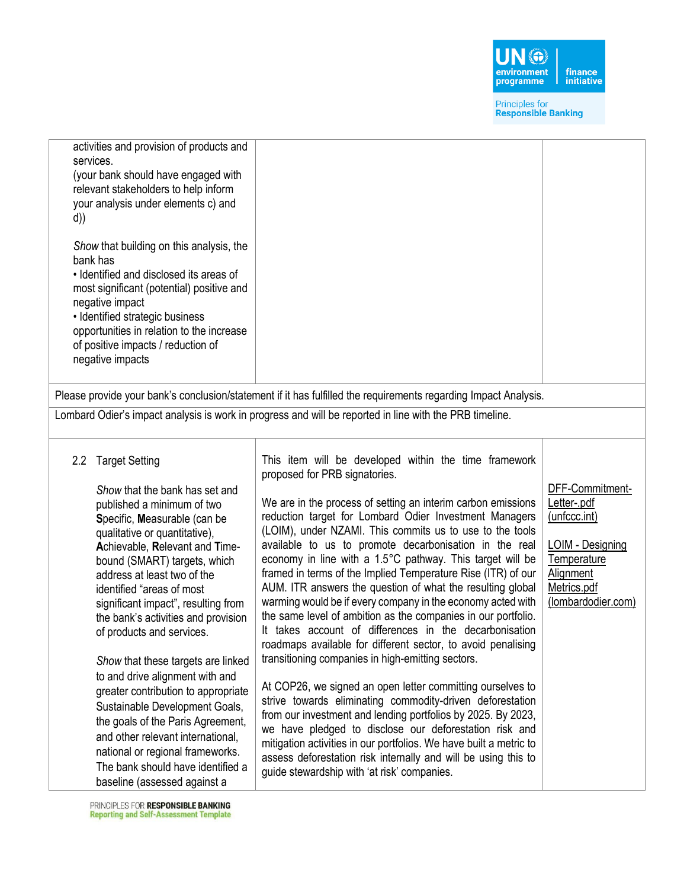

| activities and provision of products and<br>services.<br>(your bank should have engaged with<br>relevant stakeholders to help inform<br>your analysis under elements c) and<br>d))<br>Show that building on this analysis, the<br>bank has<br>• Identified and disclosed its areas of<br>most significant (potential) positive and<br>negative impact<br>• Identified strategic business<br>opportunities in relation to the increase<br>of positive impacts / reduction of<br>negative impacts                                                                                                                                                                                                                                                          | Please provide your bank's conclusion/statement if it has fulfilled the requirements regarding Impact Analysis.                                                                                                                                                                                                                                                                                                                                                                                                                                                                                                                                                                                                                                                                                                                                                                                                                                                                                                                                                                                                                                                                                                                                                                              |                                                                                                                                            |
|----------------------------------------------------------------------------------------------------------------------------------------------------------------------------------------------------------------------------------------------------------------------------------------------------------------------------------------------------------------------------------------------------------------------------------------------------------------------------------------------------------------------------------------------------------------------------------------------------------------------------------------------------------------------------------------------------------------------------------------------------------|----------------------------------------------------------------------------------------------------------------------------------------------------------------------------------------------------------------------------------------------------------------------------------------------------------------------------------------------------------------------------------------------------------------------------------------------------------------------------------------------------------------------------------------------------------------------------------------------------------------------------------------------------------------------------------------------------------------------------------------------------------------------------------------------------------------------------------------------------------------------------------------------------------------------------------------------------------------------------------------------------------------------------------------------------------------------------------------------------------------------------------------------------------------------------------------------------------------------------------------------------------------------------------------------|--------------------------------------------------------------------------------------------------------------------------------------------|
|                                                                                                                                                                                                                                                                                                                                                                                                                                                                                                                                                                                                                                                                                                                                                          | Lombard Odier's impact analysis is work in progress and will be reported in line with the PRB timeline.                                                                                                                                                                                                                                                                                                                                                                                                                                                                                                                                                                                                                                                                                                                                                                                                                                                                                                                                                                                                                                                                                                                                                                                      |                                                                                                                                            |
|                                                                                                                                                                                                                                                                                                                                                                                                                                                                                                                                                                                                                                                                                                                                                          |                                                                                                                                                                                                                                                                                                                                                                                                                                                                                                                                                                                                                                                                                                                                                                                                                                                                                                                                                                                                                                                                                                                                                                                                                                                                                              |                                                                                                                                            |
| <b>Target Setting</b><br>$2.2\phantom{0}$<br>Show that the bank has set and<br>published a minimum of two<br>Specific, Measurable (can be<br>qualitative or quantitative),<br>Achievable, Relevant and Time-<br>bound (SMART) targets, which<br>address at least two of the<br>identified "areas of most<br>significant impact", resulting from<br>the bank's activities and provision<br>of products and services.<br>Show that these targets are linked<br>to and drive alignment with and<br>greater contribution to appropriate<br>Sustainable Development Goals,<br>the goals of the Paris Agreement,<br>and other relevant international.<br>national or regional frameworks.<br>The bank should have identified a<br>baseline (assessed against a | This item will be developed within the time framework<br>proposed for PRB signatories.<br>We are in the process of setting an interim carbon emissions<br>reduction target for Lombard Odier Investment Managers<br>(LOIM), under NZAMI. This commits us to use to the tools<br>available to us to promote decarbonisation in the real<br>economy in line with a 1.5°C pathway. This target will be<br>framed in terms of the Implied Temperature Rise (ITR) of our<br>AUM. ITR answers the question of what the resulting global<br>warming would be if every company in the economy acted with<br>the same level of ambition as the companies in our portfolio.<br>It takes account of differences in the decarbonisation<br>roadmaps available for different sector, to avoid penalising<br>transitioning companies in high-emitting sectors.<br>At COP26, we signed an open letter committing ourselves to<br>strive towards eliminating commodity-driven deforestation<br>from our investment and lending portfolios by 2025. By 2023,<br>we have pledged to disclose our deforestation risk and<br>mitigation activities in our portfolios. We have built a metric to<br>assess deforestation risk internally and will be using this to<br>guide stewardship with 'at risk' companies. | DFF-Commitment-<br>Letter-.pdf<br>(unfccc.int)<br><b>LOIM - Designing</b><br>Temperature<br>Alignment<br>Metrics.pdf<br>(lombardodier.com) |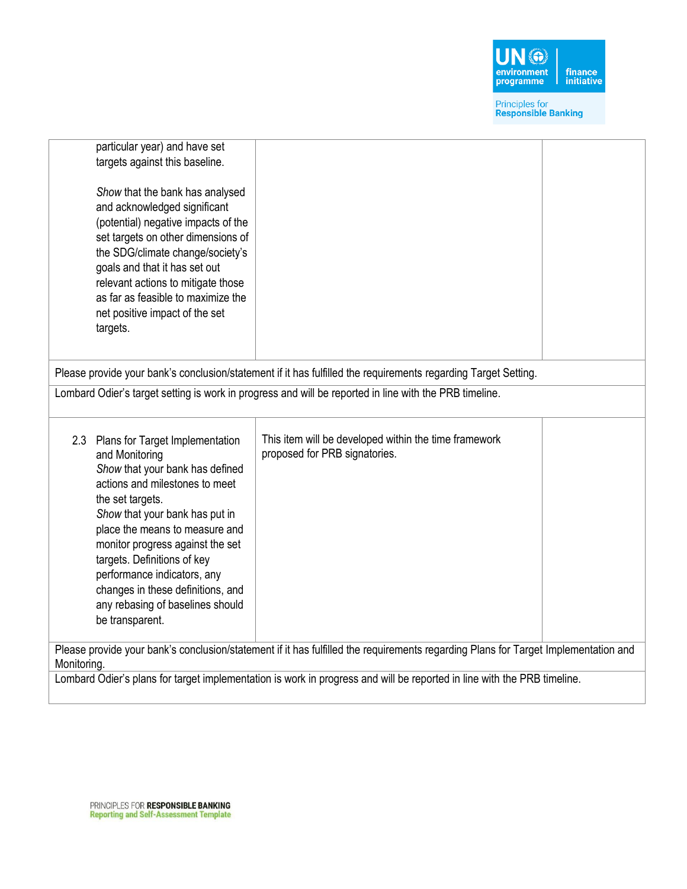

| particular year) and have set<br>targets against this baseline.                                                                                                                  |                                                                                                                         |  |  |
|----------------------------------------------------------------------------------------------------------------------------------------------------------------------------------|-------------------------------------------------------------------------------------------------------------------------|--|--|
| Show that the bank has analysed<br>and acknowledged significant                                                                                                                  |                                                                                                                         |  |  |
| (potential) negative impacts of the<br>set targets on other dimensions of                                                                                                        |                                                                                                                         |  |  |
| the SDG/climate change/society's<br>goals and that it has set out                                                                                                                |                                                                                                                         |  |  |
| relevant actions to mitigate those                                                                                                                                               |                                                                                                                         |  |  |
| as far as feasible to maximize the<br>net positive impact of the set                                                                                                             |                                                                                                                         |  |  |
| targets.                                                                                                                                                                         |                                                                                                                         |  |  |
|                                                                                                                                                                                  | Please provide your bank's conclusion/statement if it has fulfilled the requirements regarding Target Setting.          |  |  |
|                                                                                                                                                                                  | Lombard Odier's target setting is work in progress and will be reported in line with the PRB timeline.                  |  |  |
| 2.3 Plans for Target Implementation<br>and Monitoring<br>Show that your bank has defined<br>actions and milestones to meet<br>the set targets.<br>Show that your bank has put in | This item will be developed within the time framework<br>proposed for PRB signatories.                                  |  |  |
| place the means to measure and<br>monitor progress against the set<br>targets. Definitions of key<br>performance indicators, any                                                 |                                                                                                                         |  |  |
| changes in these definitions, and<br>any rebasing of baselines should                                                                                                            |                                                                                                                         |  |  |
| be transparent.                                                                                                                                                                  |                                                                                                                         |  |  |
| Please provide your bank's conclusion/statement if it has fulfilled the requirements regarding Plans for Target Implementation and<br>Monitoring.                                |                                                                                                                         |  |  |
|                                                                                                                                                                                  | Lombard Odier's plans for target implementation is work in progress and will be reported in line with the PRB timeline. |  |  |

 $\overline{\phantom{a}}$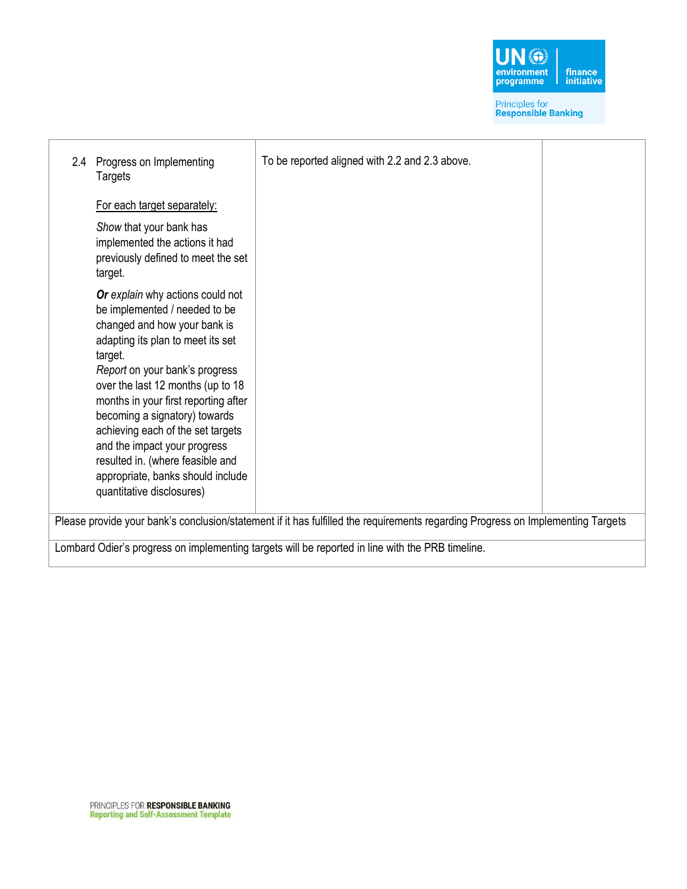

| 2.4                                                                                                                             | Progress on Implementing<br>Targets                                                                                                                                                                                                                                                                                                                                                                                                                                          | To be reported aligned with 2.2 and 2.3 above. |  |
|---------------------------------------------------------------------------------------------------------------------------------|------------------------------------------------------------------------------------------------------------------------------------------------------------------------------------------------------------------------------------------------------------------------------------------------------------------------------------------------------------------------------------------------------------------------------------------------------------------------------|------------------------------------------------|--|
|                                                                                                                                 | For each target separately:                                                                                                                                                                                                                                                                                                                                                                                                                                                  |                                                |  |
|                                                                                                                                 | Show that your bank has<br>implemented the actions it had<br>previously defined to meet the set<br>target.                                                                                                                                                                                                                                                                                                                                                                   |                                                |  |
|                                                                                                                                 | Or explain why actions could not<br>be implemented / needed to be<br>changed and how your bank is<br>adapting its plan to meet its set<br>target.<br>Report on your bank's progress<br>over the last 12 months (up to 18<br>months in your first reporting after<br>becoming a signatory) towards<br>achieving each of the set targets<br>and the impact your progress<br>resulted in. (where feasible and<br>appropriate, banks should include<br>quantitative disclosures) |                                                |  |
| Please provide your bank's conclusion/statement if it has fulfilled the requirements regarding Progress on Implementing Targets |                                                                                                                                                                                                                                                                                                                                                                                                                                                                              |                                                |  |
| Lombard Odier's progress on implementing targets will be reported in line with the PRB timeline.                                |                                                                                                                                                                                                                                                                                                                                                                                                                                                                              |                                                |  |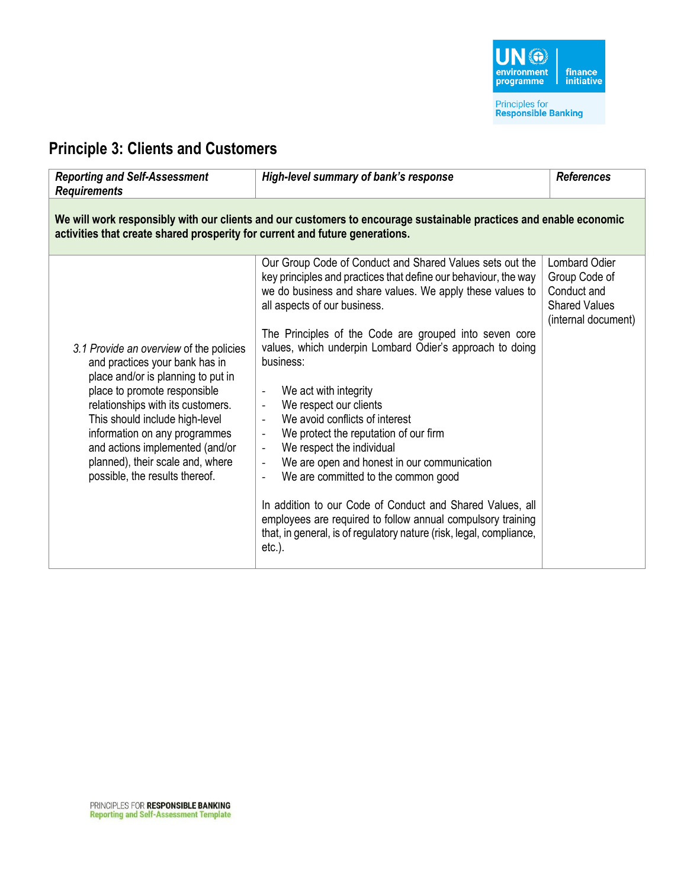

### **Principle 3: Clients and Customers**

| <b>Reporting and Self-Assessment</b><br><b>Requirements</b>                                                                                                                                                                                                                                                                                                      | High-level summary of bank's response                                                                                                                                                                                                                                                                                                                                                                                                                                                                                                                                                                                                                                                                                                                                                                                                                                                                                                                                                                | <b>References</b>                                                                                   |  |
|------------------------------------------------------------------------------------------------------------------------------------------------------------------------------------------------------------------------------------------------------------------------------------------------------------------------------------------------------------------|------------------------------------------------------------------------------------------------------------------------------------------------------------------------------------------------------------------------------------------------------------------------------------------------------------------------------------------------------------------------------------------------------------------------------------------------------------------------------------------------------------------------------------------------------------------------------------------------------------------------------------------------------------------------------------------------------------------------------------------------------------------------------------------------------------------------------------------------------------------------------------------------------------------------------------------------------------------------------------------------------|-----------------------------------------------------------------------------------------------------|--|
| We will work responsibly with our clients and our customers to encourage sustainable practices and enable economic<br>activities that create shared prosperity for current and future generations.                                                                                                                                                               |                                                                                                                                                                                                                                                                                                                                                                                                                                                                                                                                                                                                                                                                                                                                                                                                                                                                                                                                                                                                      |                                                                                                     |  |
| 3.1 Provide an overview of the policies<br>and practices your bank has in<br>place and/or is planning to put in<br>place to promote responsible<br>relationships with its customers.<br>This should include high-level<br>information on any programmes<br>and actions implemented (and/or<br>planned), their scale and, where<br>possible, the results thereof. | Our Group Code of Conduct and Shared Values sets out the<br>key principles and practices that define our behaviour, the way<br>we do business and share values. We apply these values to<br>all aspects of our business.<br>The Principles of the Code are grouped into seven core<br>values, which underpin Lombard Odier's approach to doing<br>business:<br>We act with integrity<br>$\overline{\phantom{a}}$<br>We respect our clients<br>We avoid conflicts of interest<br>$\overline{\phantom{a}}$<br>We protect the reputation of our firm<br>$\overline{\phantom{a}}$<br>We respect the individual<br>$\overline{\phantom{a}}$<br>We are open and honest in our communication<br>$\overline{\phantom{0}}$<br>We are committed to the common good<br>$\overline{\phantom{a}}$<br>In addition to our Code of Conduct and Shared Values, all<br>employees are required to follow annual compulsory training<br>that, in general, is of regulatory nature (risk, legal, compliance,<br>$etc.$ ). | <b>Lombard Odier</b><br>Group Code of<br>Conduct and<br><b>Shared Values</b><br>(internal document) |  |
|                                                                                                                                                                                                                                                                                                                                                                  |                                                                                                                                                                                                                                                                                                                                                                                                                                                                                                                                                                                                                                                                                                                                                                                                                                                                                                                                                                                                      |                                                                                                     |  |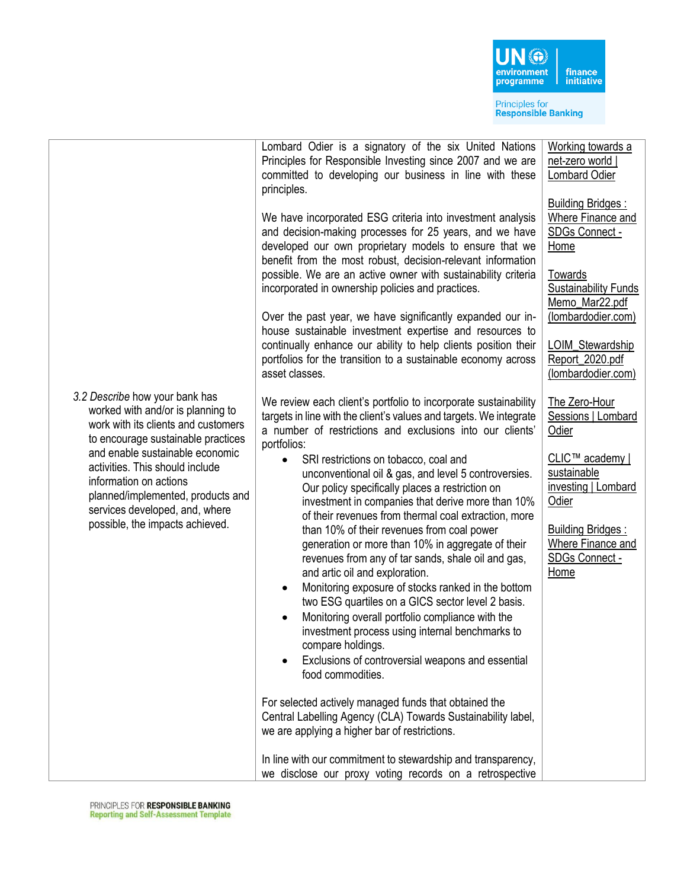

|                                                                                                                                                                                                                                                                                                                                                            | Lombard Odier is a signatory of the six United Nations<br>Principles for Responsible Investing since 2007 and we are<br>committed to developing our business in line with these                                                                                                                                                                                                                                                                                                                                                                                                                                                                                                                                                                                                                                                                                                                                                                                                                                                                                                                                                                                                                                                                                                                                               | Working towards a<br>net-zero world  <br>Lombard Odier                                                                                                                                                                        |
|------------------------------------------------------------------------------------------------------------------------------------------------------------------------------------------------------------------------------------------------------------------------------------------------------------------------------------------------------------|-------------------------------------------------------------------------------------------------------------------------------------------------------------------------------------------------------------------------------------------------------------------------------------------------------------------------------------------------------------------------------------------------------------------------------------------------------------------------------------------------------------------------------------------------------------------------------------------------------------------------------------------------------------------------------------------------------------------------------------------------------------------------------------------------------------------------------------------------------------------------------------------------------------------------------------------------------------------------------------------------------------------------------------------------------------------------------------------------------------------------------------------------------------------------------------------------------------------------------------------------------------------------------------------------------------------------------|-------------------------------------------------------------------------------------------------------------------------------------------------------------------------------------------------------------------------------|
|                                                                                                                                                                                                                                                                                                                                                            | principles.<br>We have incorporated ESG criteria into investment analysis<br>and decision-making processes for 25 years, and we have<br>developed our own proprietary models to ensure that we<br>benefit from the most robust, decision-relevant information<br>possible. We are an active owner with sustainability criteria<br>incorporated in ownership policies and practices.<br>Over the past year, we have significantly expanded our in-<br>house sustainable investment expertise and resources to<br>continually enhance our ability to help clients position their<br>portfolios for the transition to a sustainable economy across<br>asset classes.                                                                                                                                                                                                                                                                                                                                                                                                                                                                                                                                                                                                                                                             | <b>Building Bridges:</b><br>Where Finance and<br>SDGs Connect -<br>Home<br><b>Towards</b><br><b>Sustainability Funds</b><br>Memo_Mar22.pdf<br>(lombardodier.com)<br>LOIM_Stewardship<br>Report_2020.pdf<br>(lombardodier.com) |
| 3.2 Describe how your bank has<br>worked with and/or is planning to<br>work with its clients and customers<br>to encourage sustainable practices<br>and enable sustainable economic<br>activities. This should include<br>information on actions<br>planned/implemented, products and<br>services developed, and, where<br>possible, the impacts achieved. | We review each client's portfolio to incorporate sustainability<br>targets in line with the client's values and targets. We integrate<br>a number of restrictions and exclusions into our clients'<br>portfolios:<br>SRI restrictions on tobacco, coal and<br>$\bullet$<br>unconventional oil & gas, and level 5 controversies.<br>Our policy specifically places a restriction on<br>investment in companies that derive more than 10%<br>of their revenues from thermal coal extraction, more<br>than 10% of their revenues from coal power<br>generation or more than 10% in aggregate of their<br>revenues from any of tar sands, shale oil and gas,<br>and artic oil and exploration.<br>Monitoring exposure of stocks ranked in the bottom<br>$\bullet$<br>two ESG quartiles on a GICS sector level 2 basis.<br>Monitoring overall portfolio compliance with the<br>investment process using internal benchmarks to<br>compare holdings.<br>Exclusions of controversial weapons and essential<br>food commodities.<br>For selected actively managed funds that obtained the<br>Central Labelling Agency (CLA) Towards Sustainability label,<br>we are applying a higher bar of restrictions.<br>In line with our commitment to stewardship and transparency,<br>we disclose our proxy voting records on a retrospective | The Zero-Hour<br>Sessions   Lombard<br>Odier<br>CLIC™ academy  <br>sustainable<br>investing   Lombard<br>Odier<br><b>Building Bridges:</b><br>Where Finance and<br>SDGs Connect -<br>Home                                     |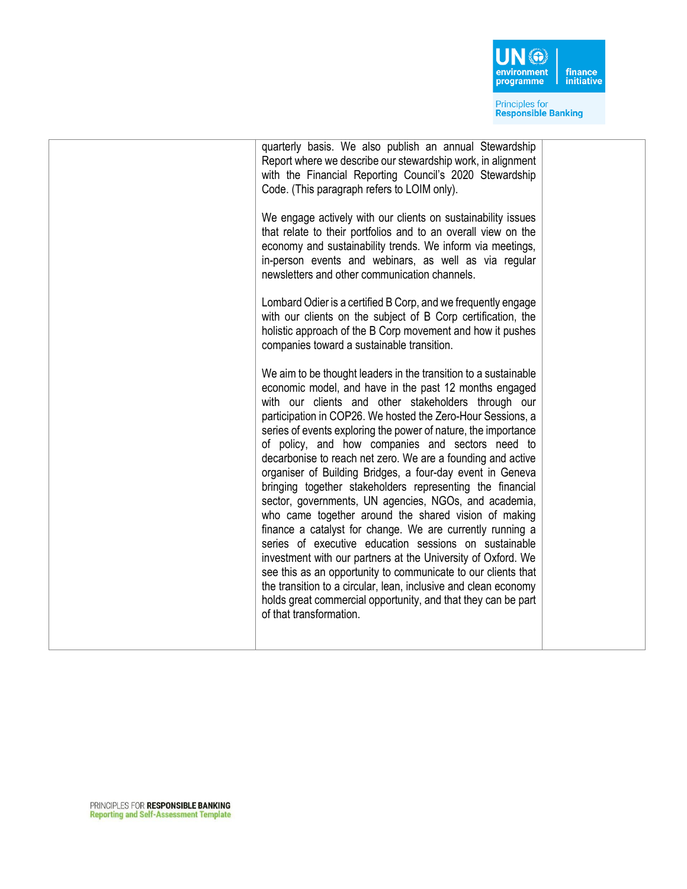

| We engage actively with our clients on sustainability issues<br>that relate to their portfolios and to an overall view on the<br>economy and sustainability trends. We inform via meetings,<br>in-person events and webinars, as well as via regular<br>newsletters and other communication channels.<br>Lombard Odier is a certified B Corp, and we frequently engage<br>with our clients on the subject of B Corp certification, the<br>holistic approach of the B Corp movement and how it pushes<br>companies toward a sustainable transition.<br>We aim to be thought leaders in the transition to a sustainable<br>economic model, and have in the past 12 months engaged<br>with our clients and other stakeholders through our<br>participation in COP26. We hosted the Zero-Hour Sessions, a<br>series of events exploring the power of nature, the importance<br>of policy, and how companies and sectors need to<br>decarbonise to reach net zero. We are a founding and active<br>organiser of Building Bridges, a four-day event in Geneva<br>bringing together stakeholders representing the financial<br>sector, governments, UN agencies, NGOs, and academia,<br>who came together around the shared vision of making<br>finance a catalyst for change. We are currently running a<br>series of executive education sessions on sustainable<br>investment with our partners at the University of Oxford. We<br>see this as an opportunity to communicate to our clients that<br>the transition to a circular, lean, inclusive and clean economy<br>holds great commercial opportunity, and that they can be part<br>of that transformation. | quarterly basis. We also publish an annual Stewardship<br>Report where we describe our stewardship work, in alignment<br>with the Financial Reporting Council's 2020 Stewardship<br>Code. (This paragraph refers to LOIM only). |  |
|-------------------------------------------------------------------------------------------------------------------------------------------------------------------------------------------------------------------------------------------------------------------------------------------------------------------------------------------------------------------------------------------------------------------------------------------------------------------------------------------------------------------------------------------------------------------------------------------------------------------------------------------------------------------------------------------------------------------------------------------------------------------------------------------------------------------------------------------------------------------------------------------------------------------------------------------------------------------------------------------------------------------------------------------------------------------------------------------------------------------------------------------------------------------------------------------------------------------------------------------------------------------------------------------------------------------------------------------------------------------------------------------------------------------------------------------------------------------------------------------------------------------------------------------------------------------------------------------------------------------------------------------------------------|---------------------------------------------------------------------------------------------------------------------------------------------------------------------------------------------------------------------------------|--|
|                                                                                                                                                                                                                                                                                                                                                                                                                                                                                                                                                                                                                                                                                                                                                                                                                                                                                                                                                                                                                                                                                                                                                                                                                                                                                                                                                                                                                                                                                                                                                                                                                                                             |                                                                                                                                                                                                                                 |  |
|                                                                                                                                                                                                                                                                                                                                                                                                                                                                                                                                                                                                                                                                                                                                                                                                                                                                                                                                                                                                                                                                                                                                                                                                                                                                                                                                                                                                                                                                                                                                                                                                                                                             |                                                                                                                                                                                                                                 |  |
|                                                                                                                                                                                                                                                                                                                                                                                                                                                                                                                                                                                                                                                                                                                                                                                                                                                                                                                                                                                                                                                                                                                                                                                                                                                                                                                                                                                                                                                                                                                                                                                                                                                             |                                                                                                                                                                                                                                 |  |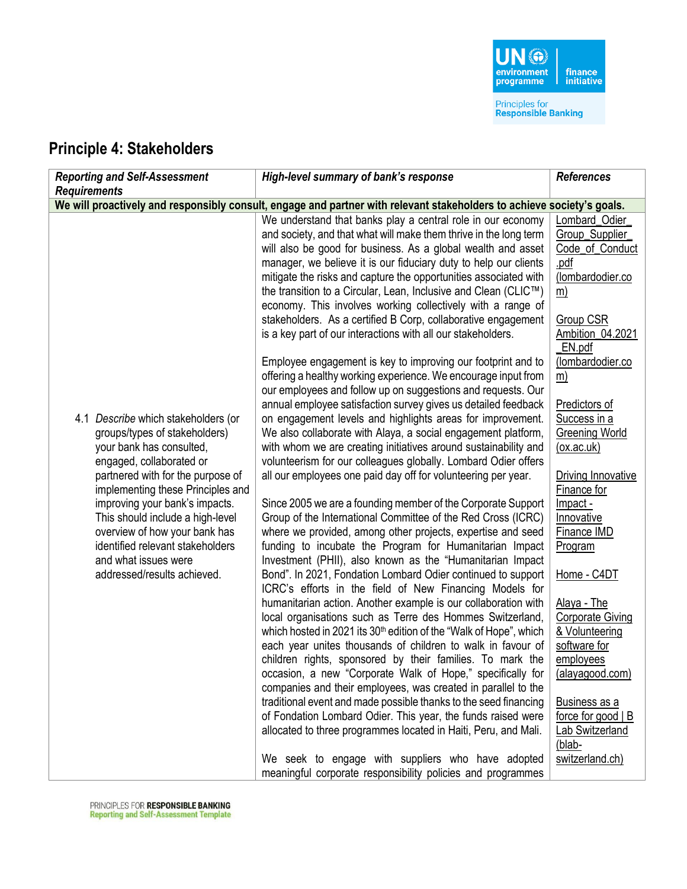### **Principle 4: Stakeholders**

| <b>Reporting and Self-Assessment</b>                                                                                                                                                                                                                                                                                                                                                                     | High-level summary of bank's response                                                                                                                                                                                                                                                                                                                                                                                                                                                                                                                                                                                                                                                                                                                                                                                                                                                                                                                                                                                                                                                                                                                                                                                                                                                                                                                                                                                                                                                                                                                                                                                                                                                                                                                                                                                                                                                                                                                                                                                                                                                                                                                                                                                                                                                                                                                                                                                                                                                                                                     | <b>References</b>                                                                                                                                                                                                                                                                                                                                                                                                                                                                                                                                                             |
|----------------------------------------------------------------------------------------------------------------------------------------------------------------------------------------------------------------------------------------------------------------------------------------------------------------------------------------------------------------------------------------------------------|-------------------------------------------------------------------------------------------------------------------------------------------------------------------------------------------------------------------------------------------------------------------------------------------------------------------------------------------------------------------------------------------------------------------------------------------------------------------------------------------------------------------------------------------------------------------------------------------------------------------------------------------------------------------------------------------------------------------------------------------------------------------------------------------------------------------------------------------------------------------------------------------------------------------------------------------------------------------------------------------------------------------------------------------------------------------------------------------------------------------------------------------------------------------------------------------------------------------------------------------------------------------------------------------------------------------------------------------------------------------------------------------------------------------------------------------------------------------------------------------------------------------------------------------------------------------------------------------------------------------------------------------------------------------------------------------------------------------------------------------------------------------------------------------------------------------------------------------------------------------------------------------------------------------------------------------------------------------------------------------------------------------------------------------------------------------------------------------------------------------------------------------------------------------------------------------------------------------------------------------------------------------------------------------------------------------------------------------------------------------------------------------------------------------------------------------------------------------------------------------------------------------------------------------|-------------------------------------------------------------------------------------------------------------------------------------------------------------------------------------------------------------------------------------------------------------------------------------------------------------------------------------------------------------------------------------------------------------------------------------------------------------------------------------------------------------------------------------------------------------------------------|
| <b>Requirements</b>                                                                                                                                                                                                                                                                                                                                                                                      |                                                                                                                                                                                                                                                                                                                                                                                                                                                                                                                                                                                                                                                                                                                                                                                                                                                                                                                                                                                                                                                                                                                                                                                                                                                                                                                                                                                                                                                                                                                                                                                                                                                                                                                                                                                                                                                                                                                                                                                                                                                                                                                                                                                                                                                                                                                                                                                                                                                                                                                                           |                                                                                                                                                                                                                                                                                                                                                                                                                                                                                                                                                                               |
|                                                                                                                                                                                                                                                                                                                                                                                                          |                                                                                                                                                                                                                                                                                                                                                                                                                                                                                                                                                                                                                                                                                                                                                                                                                                                                                                                                                                                                                                                                                                                                                                                                                                                                                                                                                                                                                                                                                                                                                                                                                                                                                                                                                                                                                                                                                                                                                                                                                                                                                                                                                                                                                                                                                                                                                                                                                                                                                                                                           |                                                                                                                                                                                                                                                                                                                                                                                                                                                                                                                                                                               |
| 4.1 Describe which stakeholders (or<br>groups/types of stakeholders)<br>your bank has consulted,<br>engaged, collaborated or<br>partnered with for the purpose of<br>implementing these Principles and<br>improving your bank's impacts.<br>This should include a high-level<br>overview of how your bank has<br>identified relevant stakeholders<br>and what issues were<br>addressed/results achieved. | We will proactively and responsibly consult, engage and partner with relevant stakeholders to achieve society's goals.<br>We understand that banks play a central role in our economy<br>and society, and that what will make them thrive in the long term<br>will also be good for business. As a global wealth and asset<br>manager, we believe it is our fiduciary duty to help our clients<br>mitigate the risks and capture the opportunities associated with<br>the transition to a Circular, Lean, Inclusive and Clean (CLIC™)<br>economy. This involves working collectively with a range of<br>stakeholders. As a certified B Corp, collaborative engagement<br>is a key part of our interactions with all our stakeholders.<br>Employee engagement is key to improving our footprint and to<br>offering a healthy working experience. We encourage input from<br>our employees and follow up on suggestions and requests. Our<br>annual employee satisfaction survey gives us detailed feedback<br>on engagement levels and highlights areas for improvement.<br>We also collaborate with Alaya, a social engagement platform,<br>with whom we are creating initiatives around sustainability and<br>volunteerism for our colleagues globally. Lombard Odier offers<br>all our employees one paid day off for volunteering per year.<br>Since 2005 we are a founding member of the Corporate Support<br>Group of the International Committee of the Red Cross (ICRC)<br>where we provided, among other projects, expertise and seed<br>funding to incubate the Program for Humanitarian Impact<br>Investment (PHII), also known as the "Humanitarian Impact"<br>Bond". In 2021, Fondation Lombard Odier continued to support<br>ICRC's efforts in the field of New Financing Models for<br>humanitarian action. Another example is our collaboration with<br>local organisations such as Terre des Hommes Switzerland,<br>which hosted in 2021 its 30 <sup>th</sup> edition of the "Walk of Hope", which<br>each year unites thousands of children to walk in favour of<br>children rights, sponsored by their families. To mark the<br>occasion, a new "Corporate Walk of Hope," specifically for<br>companies and their employees, was created in parallel to the<br>traditional event and made possible thanks to the seed financing<br>of Fondation Lombard Odier. This year, the funds raised were<br>allocated to three programmes located in Haiti, Peru, and Mali.<br>We seek to engage with suppliers who have adopted | Lombard_Odier_<br>Group_Supplier_<br>Code_of_Conduct<br>.pdf<br>(lombardodier.co<br><u>m)</u><br><b>Group CSR</b><br>Ambition_04.2021<br>_EN.pdf<br>(lombardodier.co<br><u>m)</u><br>Predictors of<br>Success in a<br><b>Greening World</b><br>(ox.ac.uk)<br>Driving Innovative<br>Finance for<br>Impact -<br>Innovative<br>Finance IMD<br>Program<br>Home - C4DT<br>Alaya - The<br><b>Corporate Giving</b><br>& Volunteering<br>software for<br>employees<br>(alayagood.com)<br><b>Business as a</b><br>force for good $ B $<br>Lab Switzerland<br>(blab-<br>switzerland.ch) |
|                                                                                                                                                                                                                                                                                                                                                                                                          | meaningful corporate responsibility policies and programmes                                                                                                                                                                                                                                                                                                                                                                                                                                                                                                                                                                                                                                                                                                                                                                                                                                                                                                                                                                                                                                                                                                                                                                                                                                                                                                                                                                                                                                                                                                                                                                                                                                                                                                                                                                                                                                                                                                                                                                                                                                                                                                                                                                                                                                                                                                                                                                                                                                                                               |                                                                                                                                                                                                                                                                                                                                                                                                                                                                                                                                                                               |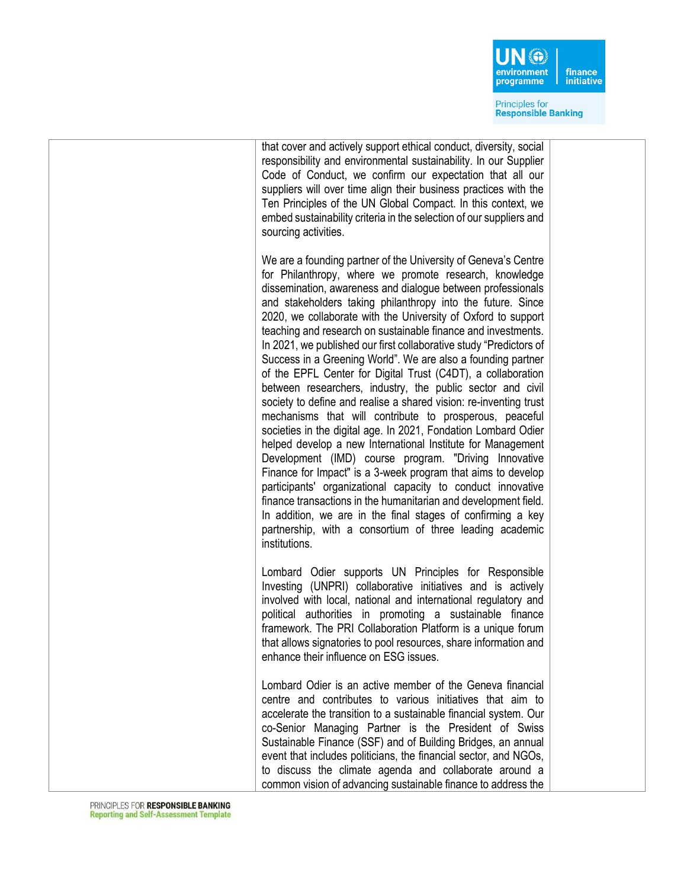

that cover and actively support ethical conduct, diversity, social responsibility and environmental sustainability. In our Supplier Code of Conduct, we confirm our expectation that all our suppliers will over time align their business practices with the Ten Principles of the UN Global Compact. In this context, we embed sustainability criteria in the selection of our suppliers and sourcing activities. We are a founding partner of the University of Geneva's Centre for Philanthropy, where we promote research, knowledge dissemination, awareness and dialogue between professionals and stakeholders taking philanthropy into the future. Since 2020, we collaborate with the University of Oxford to support teaching and research on sustainable finance and investments. In 2021, we published our first collaborative study "Predictors of Success in a Greening World". We are also a founding partner of the EPFL Center for Digital Trust (C4DT), a collaboration between researchers, industry, the public sector and civil society to define and realise a shared vision: re-inventing trust mechanisms that will contribute to prosperous, peaceful societies in the digital age. In 2021, Fondation Lombard Odier helped develop a new International Institute for Management Development (IMD) course program. "Driving Innovative Finance for Impact" is a 3-week program that aims to develop participants' organizational capacity to conduct innovative finance transactions in the humanitarian and development field. In addition, we are in the final stages of confirming a key partnership, with a consortium of three leading academic institutions. Lombard Odier supports UN Principles for Responsible Investing (UNPRI) collaborative initiatives and is actively involved with local, national and international regulatory and political authorities in promoting a sustainable finance framework. The PRI Collaboration Platform is a unique forum that allows signatories to pool resources, share information and enhance their influence on ESG issues. Lombard Odier is an active member of the Geneva financial

centre and contributes to various initiatives that aim to accelerate the transition to a sustainable financial system. Our co-Senior Managing Partner is the President of Swiss Sustainable Finance (SSF) and of Building Bridges, an annual event that includes politicians, the financial sector, and NGOs, to discuss the climate agenda and collaborate around a common vision of advancing sustainable finance to address the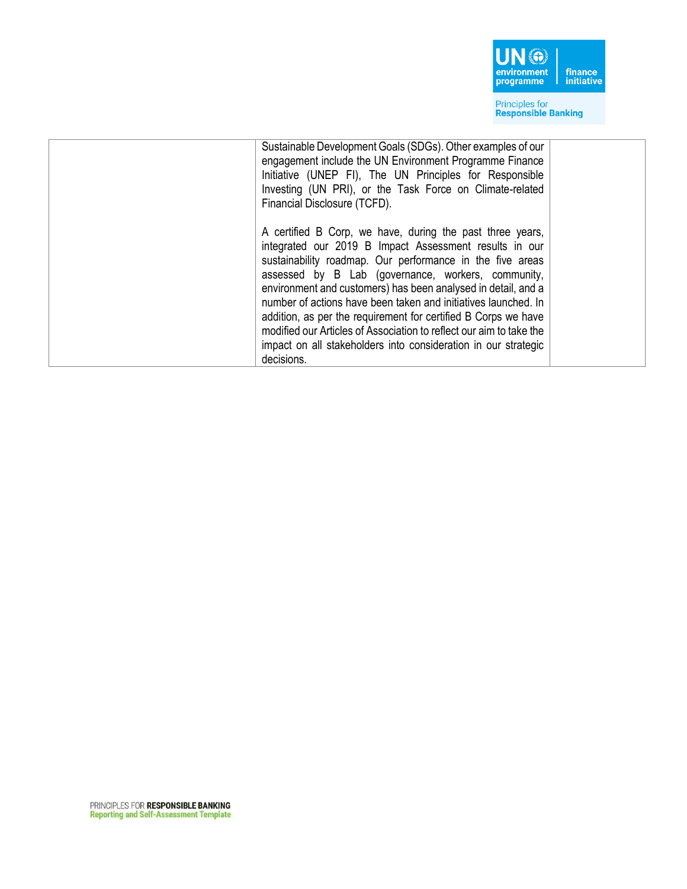

| Sustainable Development Goals (SDGs). Other examples of our<br>engagement include the UN Environment Programme Finance<br>Initiative (UNEP FI), The UN Principles for Responsible<br>Investing (UN PRI), or the Task Force on Climate-related<br>Financial Disclosure (TCFD).                                                                                                                                                                                                                                                                                                                      |  |
|----------------------------------------------------------------------------------------------------------------------------------------------------------------------------------------------------------------------------------------------------------------------------------------------------------------------------------------------------------------------------------------------------------------------------------------------------------------------------------------------------------------------------------------------------------------------------------------------------|--|
| A certified B Corp, we have, during the past three years,<br>integrated our 2019 B Impact Assessment results in our<br>sustainability roadmap. Our performance in the five areas<br>assessed by B Lab (governance, workers, community,<br>environment and customers) has been analysed in detail, and a<br>number of actions have been taken and initiatives launched. In<br>addition, as per the requirement for certified B Corps we have<br>modified our Articles of Association to reflect our aim to take the<br>impact on all stakeholders into consideration in our strategic<br>decisions. |  |
|                                                                                                                                                                                                                                                                                                                                                                                                                                                                                                                                                                                                    |  |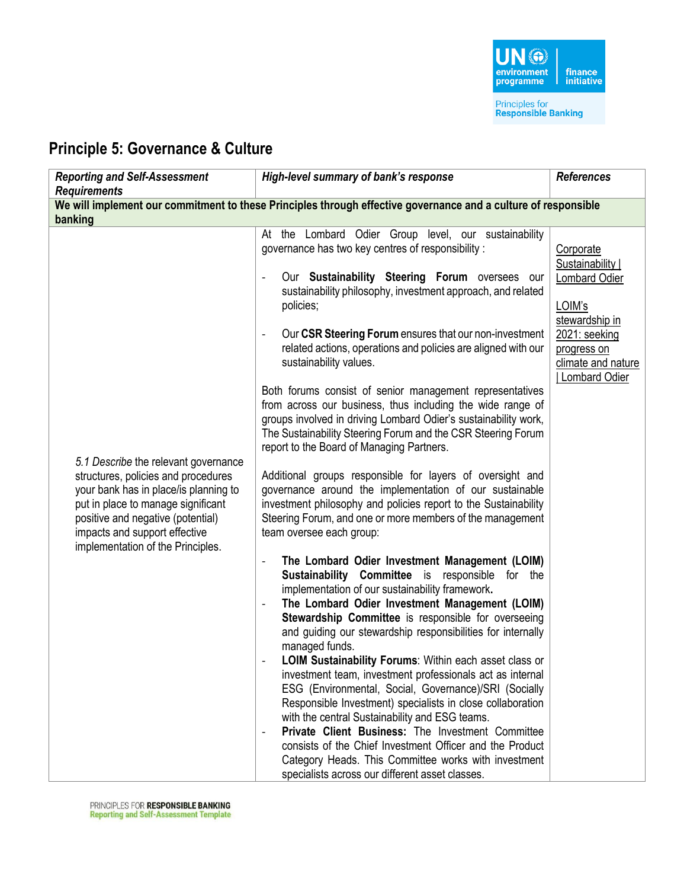

### **Principle 5: Governance & Culture**

| <b>Reporting and Self-Assessment</b><br><b>Requirements</b>                                                                                                                                                                                                           | High-level summary of bank's response                                                                                                                                                                                                                                                                                                                                                                                                                                                                                                                                                                                                                                                                                                                                                                                                                                                                                                                                                                                                                                                                                                                                                                                                                                                                                                                                                                                                                                                                                                                                                                                                                                                                                                                                                                                                                                     | <b>References</b>                                                                                                                                          |  |  |
|-----------------------------------------------------------------------------------------------------------------------------------------------------------------------------------------------------------------------------------------------------------------------|---------------------------------------------------------------------------------------------------------------------------------------------------------------------------------------------------------------------------------------------------------------------------------------------------------------------------------------------------------------------------------------------------------------------------------------------------------------------------------------------------------------------------------------------------------------------------------------------------------------------------------------------------------------------------------------------------------------------------------------------------------------------------------------------------------------------------------------------------------------------------------------------------------------------------------------------------------------------------------------------------------------------------------------------------------------------------------------------------------------------------------------------------------------------------------------------------------------------------------------------------------------------------------------------------------------------------------------------------------------------------------------------------------------------------------------------------------------------------------------------------------------------------------------------------------------------------------------------------------------------------------------------------------------------------------------------------------------------------------------------------------------------------------------------------------------------------------------------------------------------------|------------------------------------------------------------------------------------------------------------------------------------------------------------|--|--|
| We will implement our commitment to these Principles through effective governance and a culture of responsible<br>banking                                                                                                                                             |                                                                                                                                                                                                                                                                                                                                                                                                                                                                                                                                                                                                                                                                                                                                                                                                                                                                                                                                                                                                                                                                                                                                                                                                                                                                                                                                                                                                                                                                                                                                                                                                                                                                                                                                                                                                                                                                           |                                                                                                                                                            |  |  |
| 5.1 Describe the relevant governance<br>structures, policies and procedures<br>your bank has in place/is planning to<br>put in place to manage significant<br>positive and negative (potential)<br>impacts and support effective<br>implementation of the Principles. | At the Lombard Odier Group level, our sustainability<br>governance has two key centres of responsibility :<br>Our Sustainability Steering Forum oversees our<br>sustainability philosophy, investment approach, and related<br>policies;<br>Our CSR Steering Forum ensures that our non-investment<br>related actions, operations and policies are aligned with our<br>sustainability values.<br>Both forums consist of senior management representatives<br>from across our business, thus including the wide range of<br>groups involved in driving Lombard Odier's sustainability work,<br>The Sustainability Steering Forum and the CSR Steering Forum<br>report to the Board of Managing Partners.<br>Additional groups responsible for layers of oversight and<br>governance around the implementation of our sustainable<br>investment philosophy and policies report to the Sustainability<br>Steering Forum, and one or more members of the management<br>team oversee each group:<br>The Lombard Odier Investment Management (LOIM)<br>Sustainability Committee is responsible for the<br>implementation of our sustainability framework.<br>The Lombard Odier Investment Management (LOIM)<br>Stewardship Committee is responsible for overseeing<br>and guiding our stewardship responsibilities for internally<br>managed funds.<br>LOIM Sustainability Forums: Within each asset class or<br>investment team, investment professionals act as internal<br>ESG (Environmental, Social, Governance)/SRI (Socially<br>Responsible Investment) specialists in close collaboration<br>with the central Sustainability and ESG teams.<br>Private Client Business: The Investment Committee<br>consists of the Chief Investment Officer and the Product<br>Category Heads. This Committee works with investment<br>specialists across our different asset classes. | Corporate<br>Sustainability  <br><b>Lombard Odier</b><br>LOIM's<br>stewardship in<br>2021: seeking<br>progress on<br>climate and nature<br>  Lombard Odier |  |  |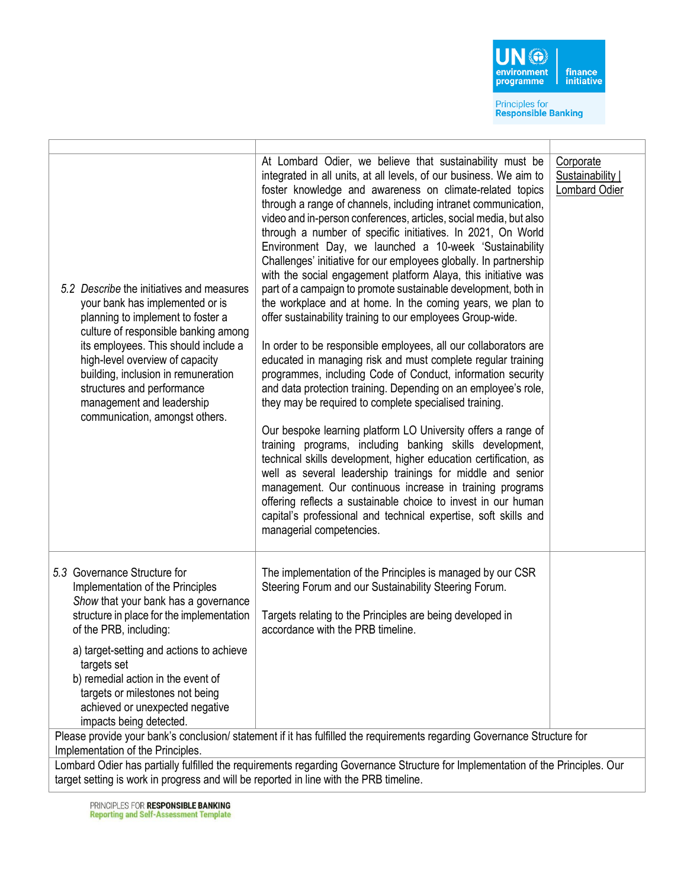

| 5.2 Describe the initiatives and measures<br>your bank has implemented or is<br>planning to implement to foster a<br>culture of responsible banking among<br>its employees. This should include a<br>high-level overview of capacity<br>building, inclusion in remuneration<br>structures and performance<br>management and leadership<br>communication, amongst others. | At Lombard Odier, we believe that sustainability must be<br>integrated in all units, at all levels, of our business. We aim to<br>foster knowledge and awareness on climate-related topics<br>through a range of channels, including intranet communication,<br>video and in-person conferences, articles, social media, but also<br>through a number of specific initiatives. In 2021, On World<br>Environment Day, we launched a 10-week 'Sustainability<br>Challenges' initiative for our employees globally. In partnership<br>with the social engagement platform Alaya, this initiative was<br>part of a campaign to promote sustainable development, both in<br>the workplace and at home. In the coming years, we plan to<br>offer sustainability training to our employees Group-wide.<br>In order to be responsible employees, all our collaborators are<br>educated in managing risk and must complete regular training<br>programmes, including Code of Conduct, information security<br>and data protection training. Depending on an employee's role,<br>they may be required to complete specialised training.<br>Our bespoke learning platform LO University offers a range of<br>training programs, including banking skills development,<br>technical skills development, higher education certification, as<br>well as several leadership trainings for middle and senior<br>management. Our continuous increase in training programs<br>offering reflects a sustainable choice to invest in our human<br>capital's professional and technical expertise, soft skills and<br>managerial competencies. | Corporate<br>Sustainability  <br>Lombard Odier |  |  |
|--------------------------------------------------------------------------------------------------------------------------------------------------------------------------------------------------------------------------------------------------------------------------------------------------------------------------------------------------------------------------|--------------------------------------------------------------------------------------------------------------------------------------------------------------------------------------------------------------------------------------------------------------------------------------------------------------------------------------------------------------------------------------------------------------------------------------------------------------------------------------------------------------------------------------------------------------------------------------------------------------------------------------------------------------------------------------------------------------------------------------------------------------------------------------------------------------------------------------------------------------------------------------------------------------------------------------------------------------------------------------------------------------------------------------------------------------------------------------------------------------------------------------------------------------------------------------------------------------------------------------------------------------------------------------------------------------------------------------------------------------------------------------------------------------------------------------------------------------------------------------------------------------------------------------------------------------------------------------------------------------------------|------------------------------------------------|--|--|
| 5.3 Governance Structure for<br>Implementation of the Principles<br>Show that your bank has a governance<br>structure in place for the implementation<br>of the PRB, including:                                                                                                                                                                                          | The implementation of the Principles is managed by our CSR<br>Steering Forum and our Sustainability Steering Forum.<br>Targets relating to the Principles are being developed in<br>accordance with the PRB timeline.                                                                                                                                                                                                                                                                                                                                                                                                                                                                                                                                                                                                                                                                                                                                                                                                                                                                                                                                                                                                                                                                                                                                                                                                                                                                                                                                                                                                    |                                                |  |  |
| a) target-setting and actions to achieve<br>targets set<br>b) remedial action in the event of<br>targets or milestones not being<br>achieved or unexpected negative<br>impacts being detected.                                                                                                                                                                           |                                                                                                                                                                                                                                                                                                                                                                                                                                                                                                                                                                                                                                                                                                                                                                                                                                                                                                                                                                                                                                                                                                                                                                                                                                                                                                                                                                                                                                                                                                                                                                                                                          |                                                |  |  |
| Please provide your bank's conclusion/ statement if it has fulfilled the requirements regarding Governance Structure for<br>Implementation of the Principles.                                                                                                                                                                                                            |                                                                                                                                                                                                                                                                                                                                                                                                                                                                                                                                                                                                                                                                                                                                                                                                                                                                                                                                                                                                                                                                                                                                                                                                                                                                                                                                                                                                                                                                                                                                                                                                                          |                                                |  |  |
| Lombard Odier has partially fulfilled the requirements regarding Governance Structure for Implementation of the Principles. Our                                                                                                                                                                                                                                          |                                                                                                                                                                                                                                                                                                                                                                                                                                                                                                                                                                                                                                                                                                                                                                                                                                                                                                                                                                                                                                                                                                                                                                                                                                                                                                                                                                                                                                                                                                                                                                                                                          |                                                |  |  |
| target setting is work in progress and will be reported in line with the PRB timeline.                                                                                                                                                                                                                                                                                   |                                                                                                                                                                                                                                                                                                                                                                                                                                                                                                                                                                                                                                                                                                                                                                                                                                                                                                                                                                                                                                                                                                                                                                                                                                                                                                                                                                                                                                                                                                                                                                                                                          |                                                |  |  |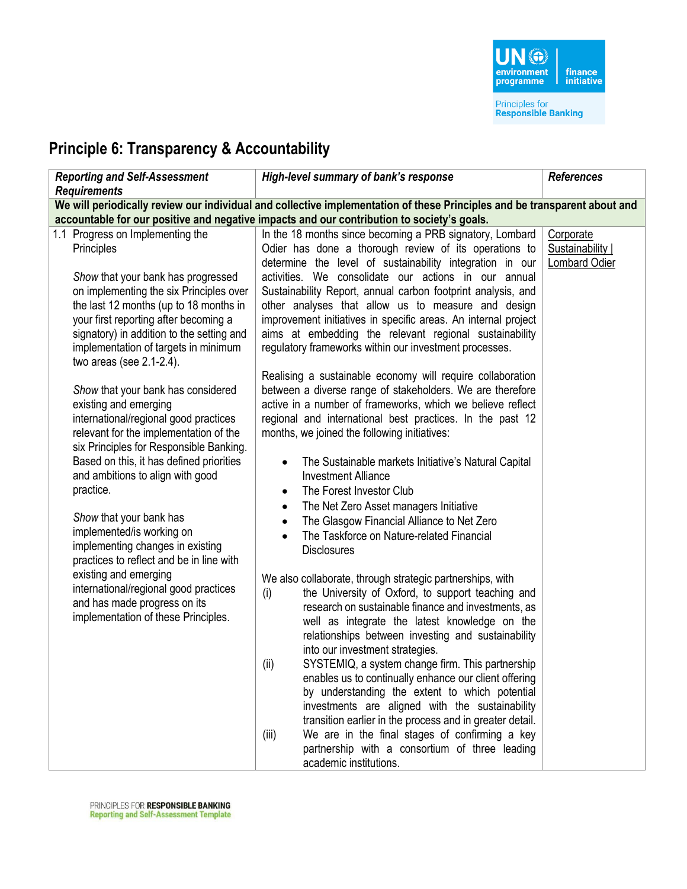

## **Principle 6: Transparency & Accountability**

| <b>Reporting and Self-Assessment</b><br><b>Requirements</b>                                                                                                                                                                                                                                                                                                                                                                                                                                                                                                                                                                                                                                                                                                                                                                                                                                                       | High-level summary of bank's response                                                                                                                                                                                                                                                                                                                                                                                                                                                                                                                                                                                                                                                                                                                                                                                                                                                                                                                                                                                                                                                                                                                                                                                                                                                                                                                                                                                                                                                                                                                                                                                                                                                                                                                                                                                                                                                                                                                                                                                                                      | <b>References</b>                                     |  |  |
|-------------------------------------------------------------------------------------------------------------------------------------------------------------------------------------------------------------------------------------------------------------------------------------------------------------------------------------------------------------------------------------------------------------------------------------------------------------------------------------------------------------------------------------------------------------------------------------------------------------------------------------------------------------------------------------------------------------------------------------------------------------------------------------------------------------------------------------------------------------------------------------------------------------------|------------------------------------------------------------------------------------------------------------------------------------------------------------------------------------------------------------------------------------------------------------------------------------------------------------------------------------------------------------------------------------------------------------------------------------------------------------------------------------------------------------------------------------------------------------------------------------------------------------------------------------------------------------------------------------------------------------------------------------------------------------------------------------------------------------------------------------------------------------------------------------------------------------------------------------------------------------------------------------------------------------------------------------------------------------------------------------------------------------------------------------------------------------------------------------------------------------------------------------------------------------------------------------------------------------------------------------------------------------------------------------------------------------------------------------------------------------------------------------------------------------------------------------------------------------------------------------------------------------------------------------------------------------------------------------------------------------------------------------------------------------------------------------------------------------------------------------------------------------------------------------------------------------------------------------------------------------------------------------------------------------------------------------------------------------|-------------------------------------------------------|--|--|
| We will periodically review our individual and collective implementation of these Principles and be transparent about and                                                                                                                                                                                                                                                                                                                                                                                                                                                                                                                                                                                                                                                                                                                                                                                         |                                                                                                                                                                                                                                                                                                                                                                                                                                                                                                                                                                                                                                                                                                                                                                                                                                                                                                                                                                                                                                                                                                                                                                                                                                                                                                                                                                                                                                                                                                                                                                                                                                                                                                                                                                                                                                                                                                                                                                                                                                                            |                                                       |  |  |
| 1.1 Progress on Implementing the<br>Principles<br>Show that your bank has progressed<br>on implementing the six Principles over<br>the last 12 months (up to 18 months in<br>your first reporting after becoming a<br>signatory) in addition to the setting and<br>implementation of targets in minimum<br>two areas (see $2.1-2.4$ ).<br>Show that your bank has considered<br>existing and emerging<br>international/regional good practices<br>relevant for the implementation of the<br>six Principles for Responsible Banking.<br>Based on this, it has defined priorities<br>and ambitions to align with good<br>practice.<br>Show that your bank has<br>implemented/is working on<br>implementing changes in existing<br>practices to reflect and be in line with<br>existing and emerging<br>international/regional good practices<br>and has made progress on its<br>implementation of these Principles. | accountable for our positive and negative impacts and our contribution to society's goals.<br>In the 18 months since becoming a PRB signatory, Lombard<br>Odier has done a thorough review of its operations to<br>determine the level of sustainability integration in our<br>activities. We consolidate our actions in our annual<br>Sustainability Report, annual carbon footprint analysis, and<br>other analyses that allow us to measure and design<br>improvement initiatives in specific areas. An internal project<br>aims at embedding the relevant regional sustainability<br>regulatory frameworks within our investment processes.<br>Realising a sustainable economy will require collaboration<br>between a diverse range of stakeholders. We are therefore<br>active in a number of frameworks, which we believe reflect<br>regional and international best practices. In the past 12<br>months, we joined the following initiatives:<br>The Sustainable markets Initiative's Natural Capital<br>$\bullet$<br><b>Investment Alliance</b><br>The Forest Investor Club<br>$\bullet$<br>The Net Zero Asset managers Initiative<br>$\bullet$<br>The Glasgow Financial Alliance to Net Zero<br>$\bullet$<br>The Taskforce on Nature-related Financial<br>$\bullet$<br><b>Disclosures</b><br>We also collaborate, through strategic partnerships, with<br>the University of Oxford, to support teaching and<br>(i)<br>research on sustainable finance and investments, as<br>well as integrate the latest knowledge on the<br>relationships between investing and sustainability<br>into our investment strategies.<br>SYSTEMIQ, a system change firm. This partnership<br>(ii)<br>enables us to continually enhance our client offering<br>by understanding the extent to which potential<br>investments are aligned with the sustainability<br>transition earlier in the process and in greater detail.<br>We are in the final stages of confirming a key<br>(iii)<br>partnership with a consortium of three leading<br>academic institutions. | Corporate<br>Sustainability  <br><b>Lombard Odier</b> |  |  |